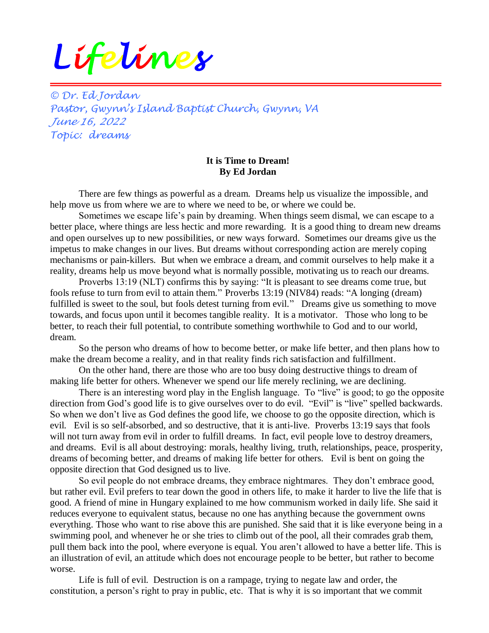## *Lifelines*

*© Dr. Ed Jordan Pastor, Gwynn's Island Baptist Church, Gwynn, VA June 16, 2022 Topic: dreams*

## **It is Time to Dream! By Ed Jordan**

There are few things as powerful as a dream. Dreams help us visualize the impossible, and help move us from where we are to where we need to be, or where we could be.

Sometimes we escape life's pain by dreaming. When things seem dismal, we can escape to a better place, where things are less hectic and more rewarding. It is a good thing to dream new dreams and open ourselves up to new possibilities, or new ways forward. Sometimes our dreams give us the impetus to make changes in our lives. But dreams without corresponding action are merely coping mechanisms or pain-killers. But when we embrace a dream, and commit ourselves to help make it a reality, dreams help us move beyond what is normally possible, motivating us to reach our dreams.

Proverbs 13:19 (NLT) confirms this by saying: "It is pleasant to see dreams come true, but fools refuse to turn from evil to attain them." Proverbs 13:19 (NIV84) reads: "A longing (dream) fulfilled is sweet to the soul, but fools detest turning from evil." Dreams give us something to move towards, and focus upon until it becomes tangible reality. It is a motivator. Those who long to be better, to reach their full potential, to contribute something worthwhile to God and to our world, dream.

So the person who dreams of how to become better, or make life better, and then plans how to make the dream become a reality, and in that reality finds rich satisfaction and fulfillment.

On the other hand, there are those who are too busy doing destructive things to dream of making life better for others. Whenever we spend our life merely reclining, we are declining.

There is an interesting word play in the English language. To "live" is good; to go the opposite direction from God's good life is to give ourselves over to do evil. "Evil" is "live" spelled backwards. So when we don't live as God defines the good life, we choose to go the opposite direction, which is evil. Evil is so self-absorbed, and so destructive, that it is anti-live. Proverbs 13:19 says that fools will not turn away from evil in order to fulfill dreams. In fact, evil people love to destroy dreamers, and dreams. Evil is all about destroying: morals, healthy living, truth, relationships, peace, prosperity, dreams of becoming better, and dreams of making life better for others. Evil is bent on going the opposite direction that God designed us to live.

So evil people do not embrace dreams, they embrace nightmares. They don't embrace good, but rather evil. Evil prefers to tear down the good in others life, to make it harder to live the life that is good. A friend of mine in Hungary explained to me how communism worked in daily life. She said it reduces everyone to equivalent status, because no one has anything because the government owns everything. Those who want to rise above this are punished. She said that it is like everyone being in a swimming pool, and whenever he or she tries to climb out of the pool, all their comrades grab them, pull them back into the pool, where everyone is equal. You aren't allowed to have a better life. This is an illustration of evil, an attitude which does not encourage people to be better, but rather to become worse.

Life is full of evil. Destruction is on a rampage, trying to negate law and order, the constitution, a person's right to pray in public, etc. That is why it is so important that we commit